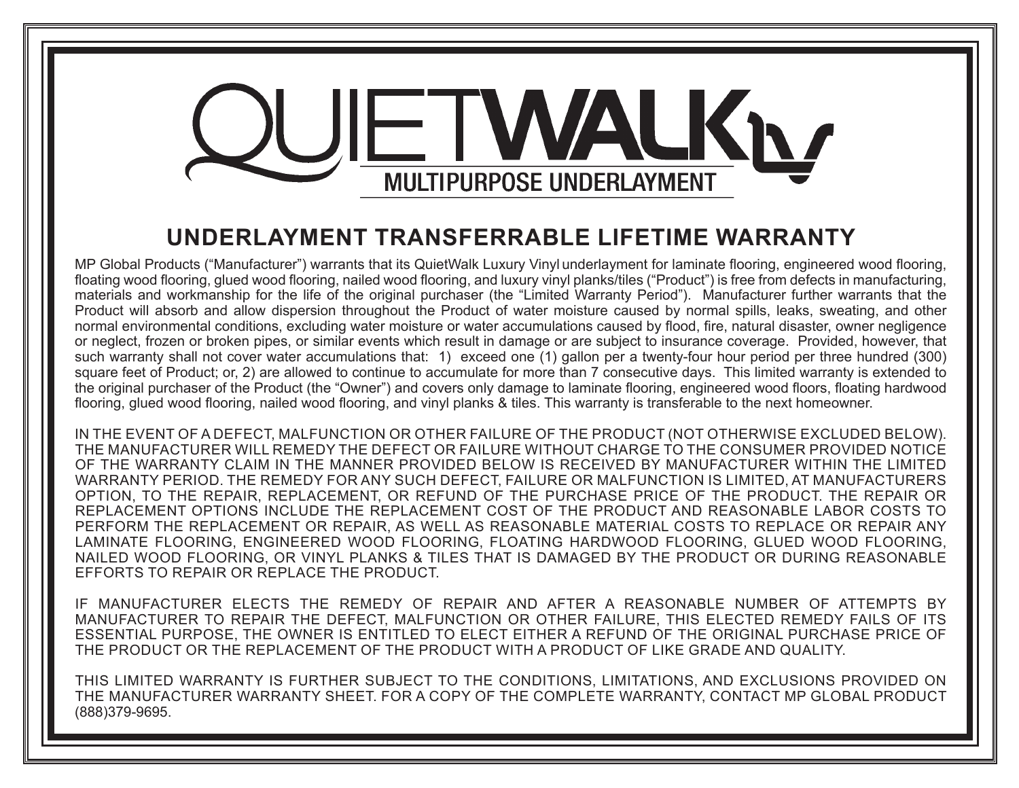# WALKN **MULTIPURPOSE UNDERLAYMENT**

## **UNDERLAYMENT TRANSFERRABLE LIFETIME WARRANTY**

MP Global Products ("Manufacturer") warrants that its QuietWalk Luxury Vinyl underlayment for laminate flooring, engineered wood flooring, floating wood flooring, glued wood flooring, nailed wood flooring, and luxury vinyl planks/tiles ("Product") is free from defects in manufacturing, materials and workmanship for the life of the original purchaser (the "Limited Warranty Period"). Manufacturer further warrants that the Product will absorb and allow dispersion throughout the Product of water moisture caused by normal spills, leaks, sweating, and other normal environmental conditions, excluding water moisture or water accumulations caused by flood, fire, natural disaster, owner negligence or neglect, frozen or broken pipes, or similar events which result in damage or are subject to insurance coverage. Provided, however, that such warranty shall not cover water accumulations that: 1) exceed one (1) gallon per a twenty-four hour period per three hundred (300) square feet of Product; or, 2) are allowed to continue to accumulate for more than 7 consecutive days. This limited warranty is extended to the original purchaser of the Product (the "Owner") and covers only damage to laminate flooring, engineered wood floors, floating hardwood flooring, glued wood flooring, nailed wood flooring, and vinyl planks & tiles. This warranty is transferable to the next homeowner.

IN THE EVENT OF A DEFECT, MALFUNCTION OR OTHER FAILURE OF THE PRODUCT (NOT OTHERWISE EXCLUDED BELOW). THE MANUFACTURER WILL REMEDY THE DEFECT OR FAILURE WITHOUT CHARGE TO THE CONSUMER PROVIDED NOTICE OF THE WARRANTY CLAIM IN THE MANNER PROVIDED BELOW IS RECEIVED BY MANUFACTURER WITHIN THE LIMITED WARRANTY PERIOD. THE REMEDY FOR ANY SUCH DEFECT, FAILURE OR MALFUNCTION IS LIMITED, AT MANUFACTURERS OPTION, TO THE REPAIR, REPLACEMENT, OR REFUND OF THE PURCHASE PRICE OF THE PRODUCT. THE REPAIR OR REPLACEMENT OPTIONS INCLUDE THE REPLACEMENT COST OF THE PRODUCT AND REASONABLE LABOR COSTS TO PERFORM THE REPLACEMENT OR REPAIR, AS WELL AS REASONABLE MATERIAL COSTS TO REPLACE OR REPAIR ANY LAMINATE FLOORING, ENGINEERED WOOD FLOORING, FLOATING HARDWOOD FLOORING, GLUED WOOD FLOORING, NAILED WOOD FLOORING, OR VINYL PLANKS & TILES THAT IS DAMAGED BY THE PRODUCT OR DURING REASONABLE EFFORTS TO REPAIR OR REPLACE THE PRODUCT.

IF MANUFACTURER ELECTS THE REMEDY OF REPAIR AND AFTER A REASONABLE NUMBER OF ATTEMPTS BY MANUFACTURER TO REPAIR THE DEFECT, MALFUNCTION OR OTHER FAILURE, THIS ELECTED REMEDY FAILS OF ITS ESSENTIAL PURPOSE, THE OWNER IS ENTITLED TO ELECT EITHER A REFUND OF THE ORIGINAL PURCHASE PRICE OF THE PRODUCT OR THE REPLACEMENT OF THE PRODUCT WITH A PRODUCT OF LIKE GRADE AND QUALITY.

THIS LIMITED WARRANTY IS FURTHER SUBJECT TO THE CONDITIONS, LIMITATIONS, AND EXCLUSIONS PROVIDED ON THE MANUFACTURER WARRANTY SHEET. FOR A COPY OF THE COMPLETE WARRANTY, CONTACT MP GLOBAL PRODUCT (888)379-9695.